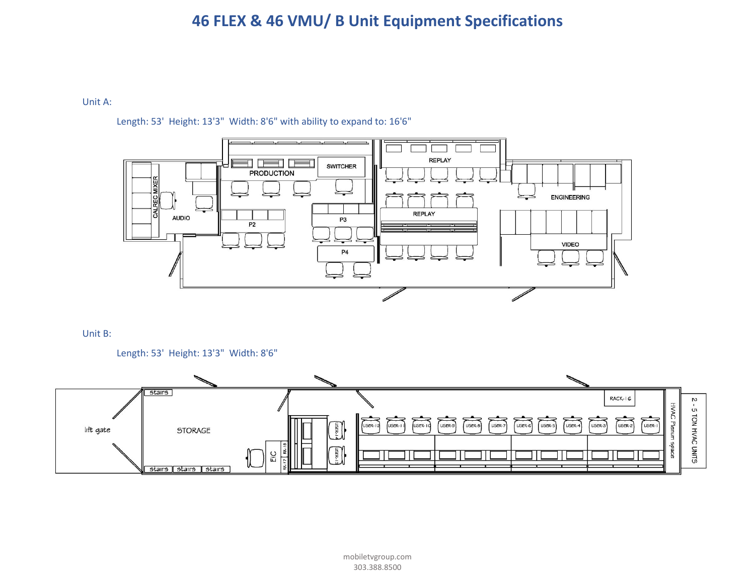# **46 FLEX & 46 VMU/ B Unit Equipment Specifications**

# Unit A:

# Length: 53' Height: 13'3" Width: 8'6" with ability to expand to: 16'6"



# Unit B:



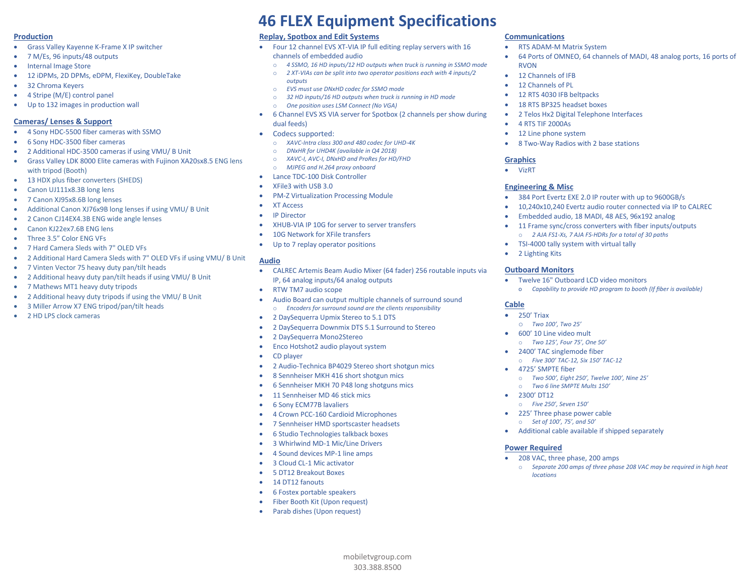#### **Production**

- Grass Valley Kayenne K-Frame X IP switcher
- 7 M/Es, 96 inputs/48 outputs
- Internal Image Store
- 12 iDPMs, 2D DPMs, eDPM, FlexiKey, DoubleTake
- 32 Chroma Keyers
- 4 Stripe (M/E) control panel
- Up to 132 images in production wall

#### **Cameras/ Lenses & Support**

- 4 Sony HDC-5500 fiber cameras with SSMO
- 6 Sony HDC-3500 fiber cameras
- 2 Additional HDC-3500 cameras if using VMU/ B Unit
- Grass Valley LDK 8000 Elite cameras with Fujinon XA20sx8.5 ENG lens with tripod (Booth)
- 13 HDX plus fiber converters (SHEDS)
- Canon UJ111x8.3B long lens
- 7 Canon XJ95x8.6B long lenses
- Additional Canon XJ76x9B long lenses if using VMU/ B Unit
- 2 Canon CJ14EX4.3B ENG wide angle lenses
- Canon KJ22ex7.6B ENG lens
- Three 3.5" Color ENG VFs
- 7 Hard Camera Sleds with 7" OLED VFs
- 2 Additional Hard Camera Sleds with 7" OLED VFs if using VMU/ B Unit
- 7 Vinten Vector 75 heavy duty pan/tilt heads
- 2 Additional heavy duty pan/tilt heads if using VMU/ B Unit
- 7 Mathews MT1 heavy duty tripods
- 2 Additional heavy duty tripods if using the VMU/ B Unit
- 3 Miller Arrow X7 ENG tripod/pan/tilt heads
- 2 HD LPS clock cameras

# **46 FLEX Equipment Specifications**

## **Replay, Spotbox and Edit Systems**

- Four 12 channel EVS XT-VIA IP full editing replay servers with 16 channels of embedded audio
	- o *4 SSMO, 16 HD inputs/12 HD outputs when truck is running in SSMO mode*
	- o *2 XT-VIAs can be split into two operator positions each with 4 inputs/2 outputs*
	- o *EVS must use DNxHD codec for SSMO mode*
	- o *32 HD inputs/16 HD outputs when truck is running in HD mode*
	- o *One position uses LSM Connect (No VGA)*
- 6 Channel EVS XS VIA server for Spotbox (2 channels per show during dual feeds)
- Codecs supported:
	- o *XAVC-Intra class 300 and 480 codec for UHD-4K*
	- o *DNxHR for UHD4K (available in Q4 2018)*
	- o *XAVC-I, AVC-I, DNxHD and ProRes for HD/FHD*
	- o *MJPEG and H.264 proxy onboard*
- Lance TDC-100 Disk Controller
- XFile3 with USB 3.0
- PM-Z Virtualization Processing Module
- XT Access
- **IP Director**
- XHUB-VIA IP 10G for server to server transfers
- 10G Network for XFile transfers
- Up to 7 replay operator positions

#### **Audio**

• CALREC Artemis Beam Audio Mixer (64 fader) 256 routable inputs via IP, 64 analog inputs/64 analog outputs

> mobiletvgroup.com 303.388.8500

- RTW TM7 audio scope
	- Audio Board can output multiple channels of surround sound o *Encoders for surround sound are the clients responsibility*
- 2 DaySequerra Upmix Stereo to 5.1 DTS
- 2 DaySequerra Downmix DTS 5.1 Surround to Stereo
- 2 DaySequerra Mono2Stereo
- Enco Hotshot2 audio playout system
- CD player
- 2 Audio-Technica BP4029 Stereo short shotgun mics
- 8 Sennheiser MKH 416 short shotgun mics
- 6 Sennheiser MKH 70 P48 long shotguns mics
- 11 Sennheiser MD 46 stick mics
- 6 Sony ECM77B lavaliers
- 4 Crown PCC-160 Cardioid Microphones
- 7 Sennheiser HMD sportscaster headsets
- 6 Studio Technologies talkback boxes
- 3 Whirlwind MD-1 Mic/Line Drivers
- 4 Sound devices MP-1 line amps
- 3 Cloud CL-1 Mic activator
- 5 DT12 Breakout Boxes
- 14 DT12 fanouts
- 6 Fostex portable speakers
- Fiber Booth Kit (Upon request)
- Parab dishes (Upon request)

## **Communications**

- RTS ADAM-M Matrix System
- 64 Ports of OMNEO, 64 channels of MADI, 48 analog ports, 16 ports of RVON
- 12 Channels of IFB
- 12 Channels of PL
- 12 RTS 4030 IFB beltpacks
- 18 RTS BP325 headset boxes
- 2 Telos Hx2 Digital Telephone Interfaces
- 4 RTS TIF 2000As
- 12 Line phone system
- 8 Two-Way Radios with 2 base stations

#### **Graphics**

• VizRT

#### **Engineering & Misc**

- 384 Port Evertz EXE 2.0 IP router with up to 9600GB/s
- 10,240x10,240 Evertz audio router connected via IP to CALREC
- Embedded audio, 18 MADI, 48 AES, 96x192 analog
- 11 Frame sync/cross converters with fiber inputs/outputs o *2 AJA FS1-Xs, 7 AJA FS-HDRs for a total of 30 paths*
- TSI-4000 tally system with virtual tally
- 2 Lighting Kits

#### **Outboard Monitors**

• Twelve 16" Outboard LCD video monitors o *Capability to provide HD program to booth (If fiber is available)*

#### **Cable**

• 250' Triax

• 2300' DT12

**Power Required**

*locations*

o *Two 100', Two 25'* • 600' 10 Line video mult

• 4725' SMPTE fiber

o *Two 125', Four 75', One 50'* • 2400' TAC singlemode fiber o *Five 300' TAC-12, Six 150' TAC-12*

o *Two 6 line SMPTE Mults 150'*

• 208 VAC, three phase, 200 amps

o *Five 250', Seven 150'* • 225' Three phase power cable o *Set of 100', 75', and 50'*

o *Two 500', Eight 250', Twelve 100', Nine 25'*

• Additional cable available if shipped separately

o *Separate 200 amps of three phase 208 VAC may be required in high heat*